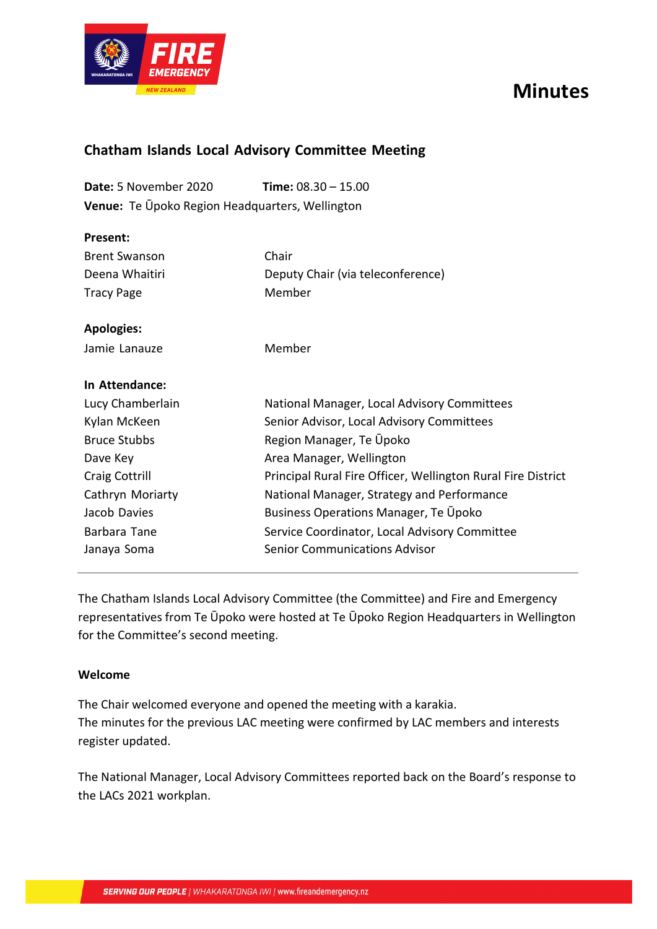

# **Minutes**

## **Chatham Islands Local Advisory Committee Meeting**

**Date:** 5 November 2020 **Time:** 08.30 – 15.00 **Venue:** Te Ūpoko Region Headquarters, Wellington

| Present:             |                                                              |  |
|----------------------|--------------------------------------------------------------|--|
| <b>Brent Swanson</b> | Chair                                                        |  |
| Deena Whaitiri       | Deputy Chair (via teleconference)                            |  |
| <b>Tracy Page</b>    | Member                                                       |  |
| <b>Apologies:</b>    |                                                              |  |
| Jamie Lanauze        | Member                                                       |  |
| In Attendance:       |                                                              |  |
| Lucy Chamberlain     | National Manager, Local Advisory Committees                  |  |
| Kylan McKeen         | Senior Advisor, Local Advisory Committees                    |  |
| <b>Bruce Stubbs</b>  | Region Manager, Te Upoko                                     |  |
| Dave Key             | Area Manager, Wellington                                     |  |
| Craig Cottrill       | Principal Rural Fire Officer, Wellington Rural Fire District |  |
| Cathryn Moriarty     | National Manager, Strategy and Performance                   |  |
| Jacob Davies         | <b>Business Operations Manager, Te Upoko</b>                 |  |
| Barbara Tane         | Service Coordinator, Local Advisory Committee                |  |
| Janaya Soma          | <b>Senior Communications Advisor</b>                         |  |

The Chatham Islands Local Advisory Committee (the Committee) and Fire and Emergency representatives from Te Ūpoko were hosted at Te Ūpoko Region Headquarters in Wellington for the Committee's second meeting.

#### **Welcome**

The Chair welcomed everyone and opened the meeting with a karakia. The minutes for the previous LAC meeting were confirmed by LAC members and interests register updated.

The National Manager, Local Advisory Committees reported back on the Board's response to the LACs 2021 workplan.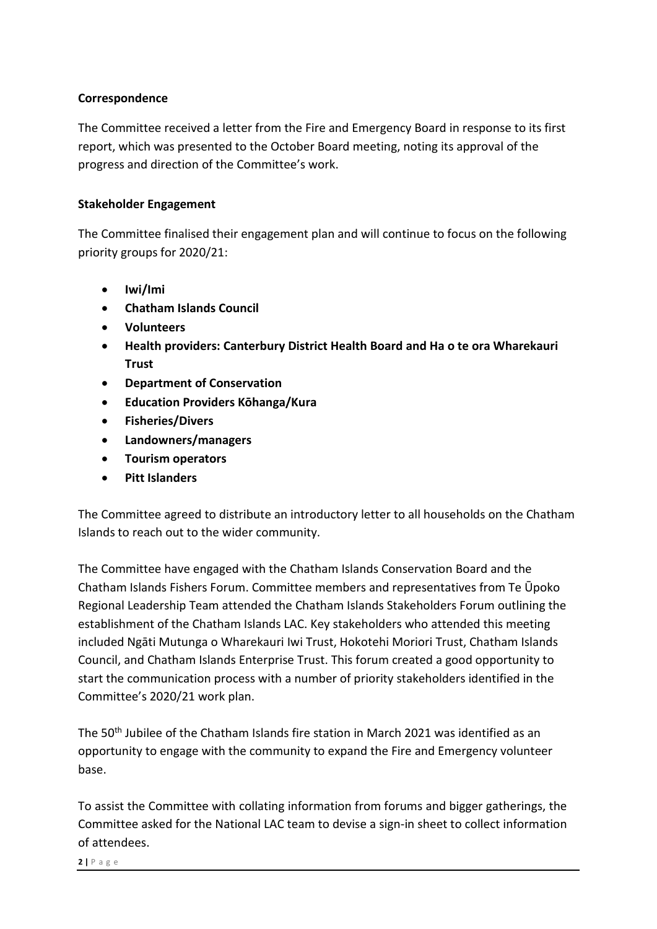### **Correspondence**

The Committee received a letter from the Fire and Emergency Board in response to its first report, which was presented to the October Board meeting, noting its approval of the progress and direction of the Committee's work.

### **Stakeholder Engagement**

The Committee finalised their engagement plan and will continue to focus on the following priority groups for 2020/21:

- **Iwi/Imi**
- **Chatham Islands Council**
- **Volunteers**
- **Health providers: Canterbury District Health Board and Ha o te ora Wharekauri Trust**
- **Department of Conservation**
- **Education Providers Kōhanga/Kura**
- **Fisheries/Divers**
- **Landowners/managers**
- **Tourism operators**
- **Pitt Islanders**

The Committee agreed to distribute an introductory letter to all households on the Chatham Islands to reach out to the wider community.

The Committee have engaged with the Chatham Islands Conservation Board and the Chatham Islands Fishers Forum. Committee members and representatives from Te Ūpoko Regional Leadership Team attended the Chatham Islands Stakeholders Forum outlining the establishment of the Chatham Islands LAC. Key stakeholders who attended this meeting included Ngāti Mutunga o Wharekauri Iwi Trust, Hokotehi Moriori Trust, Chatham Islands Council, and Chatham Islands Enterprise Trust. This forum created a good opportunity to start the communication process with a number of priority stakeholders identified in the Committee's 2020/21 work plan.

The 50th Jubilee of the Chatham Islands fire station in March 2021 was identified as an opportunity to engage with the community to expand the Fire and Emergency volunteer base.

To assist the Committee with collating information from forums and bigger gatherings, the Committee asked for the National LAC team to devise a sign-in sheet to collect information of attendees.